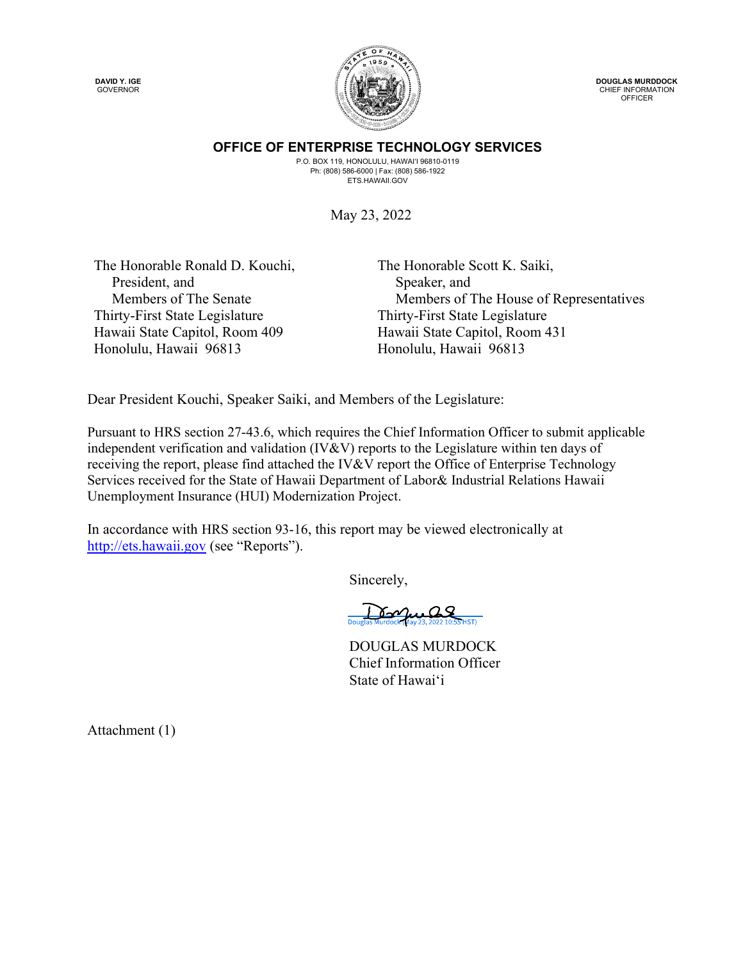DAVID Y. IGE GOVERNOR



DOUGLAS MURDDOCK CHIEF INFORMATION OFFICER

OFFICE OF ENTERPRISE TECHNOLOGY SERVICES P.O. BOX 119, HONOLULU, HAWAI'I 96810-0119

Ph: (808) 586-6000 | Fax: (808) 586-1922 **ETS HAWAII GOV** 

May 23, 2022

The Honorable Ronald D. Kouchi, President, and Members of The Senate Thirty-First State Legislature Hawaii State Capitol, Room 409 Honolulu, Hawaii 96813

The Honorable Scott K. Saiki, Speaker, and Members of The House of Representatives Thirty-First State Legislature Hawaii State Capitol, Room 431 Honolulu, Hawaii 96813

Dear President Kouchi, Speaker Saiki, and Members of the Legislature:

Pursuant to HRS section 27-43.6, which requires the Chief Information Officer to submit applicable independent verification and validation (IV&V) reports to the Legislature within ten days of receiving the report, please find attached the IV&V report the Office of Enterprise Technology Services received for the State of Hawaii Department of Labor& Industrial Relations Hawaii Unemployment Insurance (HUI) Modernization Project.

In accordance with HRS section 93-16, this report may be viewed electronically at http://ets.hawaii.gov (see "Reports").

Sincerely,

 $.09$  $\delta$ -M

DOUGLAS MURDOCK Chief Information Officer State of Hawai'i

Attachment (1)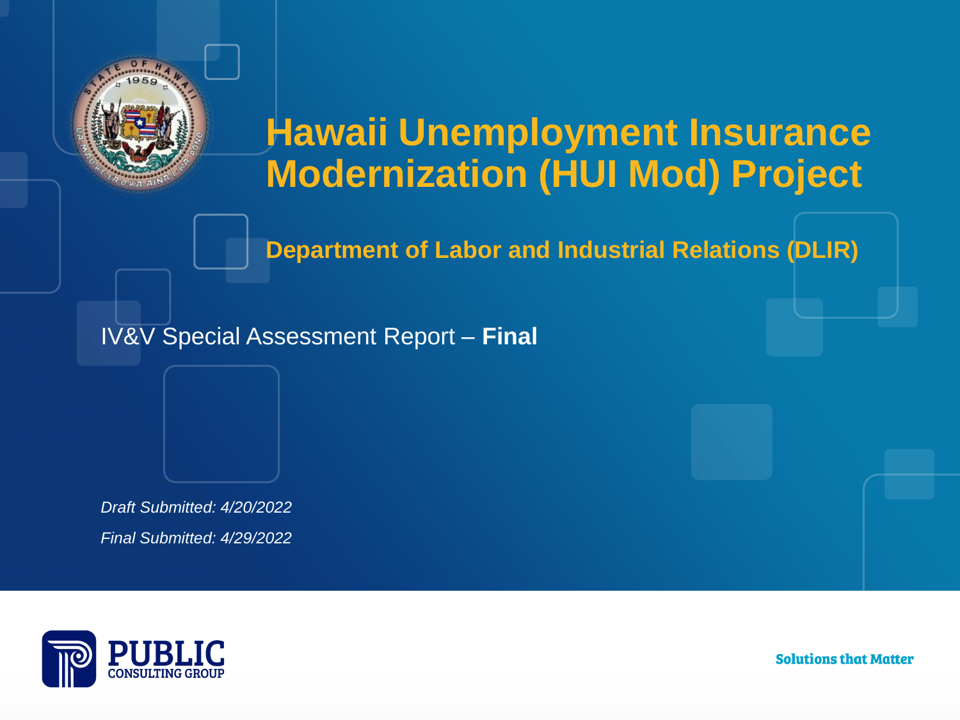

## **Hawaii Unemployment Insurance Modernization (HUI Mod) Project**

**Department of Labor and Industrial Relations (DLIR)**

IV&V Special Assessment Report – **Final**

*Draft Submitted: 4/20/2022 Final Submitted: 4/29/2022*



Solutions that Matter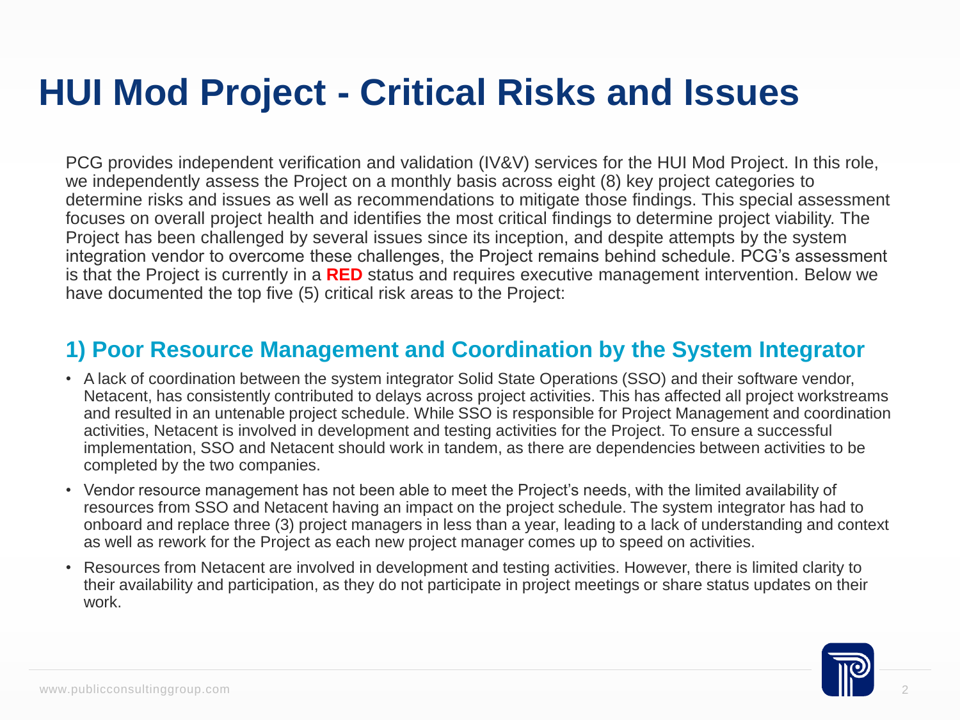PCG provides independent verification and validation (IV&V) services for the HUI Mod Project. In this role, we independently assess the Project on a monthly basis across eight (8) key project categories to determine risks and issues as well as recommendations to mitigate those findings. This special assessment focuses on overall project health and identifies the most critical findings to determine project viability. The Project has been challenged by several issues since its inception, and despite attempts by the system integration vendor to overcome these challenges, the Project remains behind schedule. PCG's assessment is that the Project is currently in a **RED** status and requires executive management intervention. Below we have documented the top five (5) critical risk areas to the Project:

#### **1) Poor Resource Management and Coordination by the System Integrator**

- A lack of coordination between the system integrator Solid State Operations (SSO) and their software vendor, Netacent, has consistently contributed to delays across project activities. This has affected all project workstreams and resulted in an untenable project schedule. While SSO is responsible for Project Management and coordination activities, Netacent is involved in development and testing activities for the Project. To ensure a successful implementation, SSO and Netacent should work in tandem, as there are dependencies between activities to be completed by the two companies.
- Vendor resource management has not been able to meet the Project's needs, with the limited availability of resources from SSO and Netacent having an impact on the project schedule. The system integrator has had to onboard and replace three (3) project managers in less than a year, leading to a lack of understanding and context as well as rework for the Project as each new project manager comes up to speed on activities.
- Resources from Netacent are involved in development and testing activities. However, there is limited clarity to their availability and participation, as they do not participate in project meetings or share status updates on their work.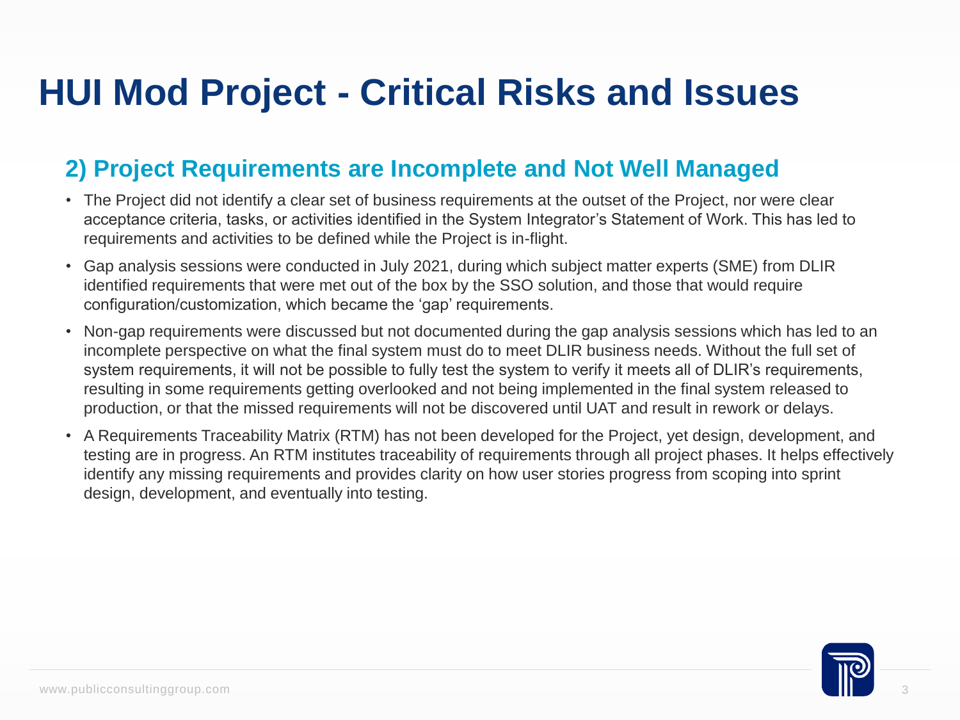#### **2) Project Requirements are Incomplete and Not Well Managed**

- The Project did not identify a clear set of business requirements at the outset of the Project, nor were clear acceptance criteria, tasks, or activities identified in the System Integrator's Statement of Work. This has led to requirements and activities to be defined while the Project is in-flight.
- Gap analysis sessions were conducted in July 2021, during which subject matter experts (SME) from DLIR identified requirements that were met out of the box by the SSO solution, and those that would require configuration/customization, which became the 'gap' requirements.
- Non-gap requirements were discussed but not documented during the gap analysis sessions which has led to an incomplete perspective on what the final system must do to meet DLIR business needs. Without the full set of system requirements, it will not be possible to fully test the system to verify it meets all of DLIR's requirements, resulting in some requirements getting overlooked and not being implemented in the final system released to production, or that the missed requirements will not be discovered until UAT and result in rework or delays.
- A Requirements Traceability Matrix (RTM) has not been developed for the Project, yet design, development, and testing are in progress. An RTM institutes traceability of requirements through all project phases. It helps effectively identify any missing requirements and provides clarity on how user stories progress from scoping into sprint design, development, and eventually into testing.

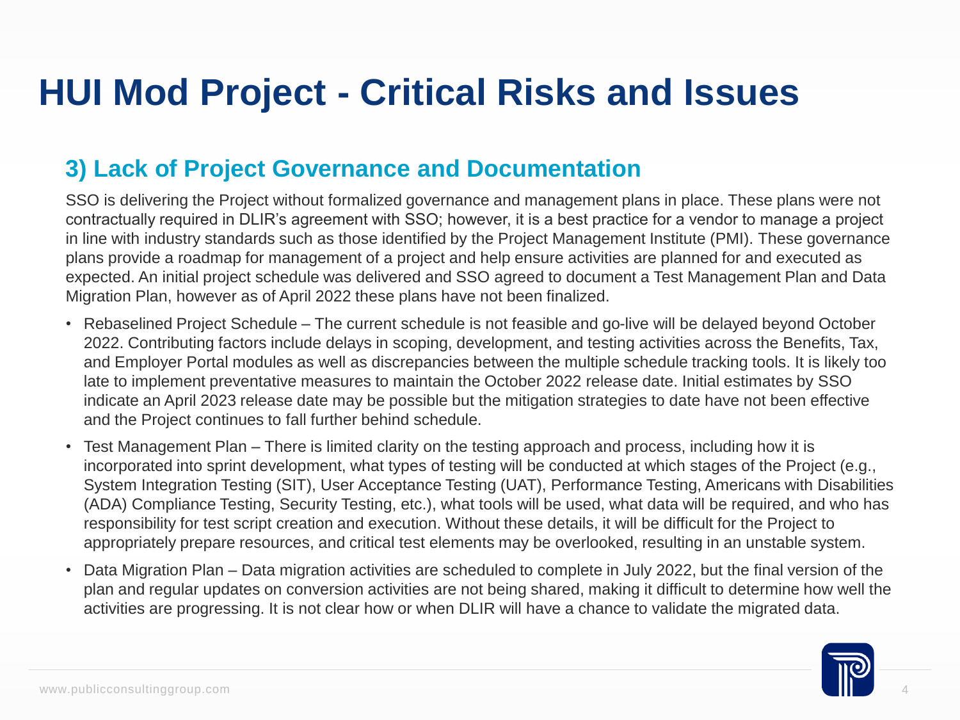#### **3) Lack of Project Governance and Documentation**

SSO is delivering the Project without formalized governance and management plans in place. These plans were not contractually required in DLIR's agreement with SSO; however, it is a best practice for a vendor to manage a project in line with industry standards such as those identified by the Project Management Institute (PMI). These governance plans provide a roadmap for management of a project and help ensure activities are planned for and executed as expected. An initial project schedule was delivered and SSO agreed to document a Test Management Plan and Data Migration Plan, however as of April 2022 these plans have not been finalized.

- Rebaselined Project Schedule The current schedule is not feasible and go-live will be delayed beyond October 2022. Contributing factors include delays in scoping, development, and testing activities across the Benefits, Tax, and Employer Portal modules as well as discrepancies between the multiple schedule tracking tools. It is likely too late to implement preventative measures to maintain the October 2022 release date. Initial estimates by SSO indicate an April 2023 release date may be possible but the mitigation strategies to date have not been effective and the Project continues to fall further behind schedule.
- Test Management Plan There is limited clarity on the testing approach and process, including how it is incorporated into sprint development, what types of testing will be conducted at which stages of the Project (e.g., System Integration Testing (SIT), User Acceptance Testing (UAT), Performance Testing, Americans with Disabilities (ADA) Compliance Testing, Security Testing, etc.), what tools will be used, what data will be required, and who has responsibility for test script creation and execution. Without these details, it will be difficult for the Project to appropriately prepare resources, and critical test elements may be overlooked, resulting in an unstable system.
- Data Migration Plan Data migration activities are scheduled to complete in July 2022, but the final version of the plan and regular updates on conversion activities are not being shared, making it difficult to determine how well the activities are progressing. It is not clear how or when DLIR will have a chance to validate the migrated data.

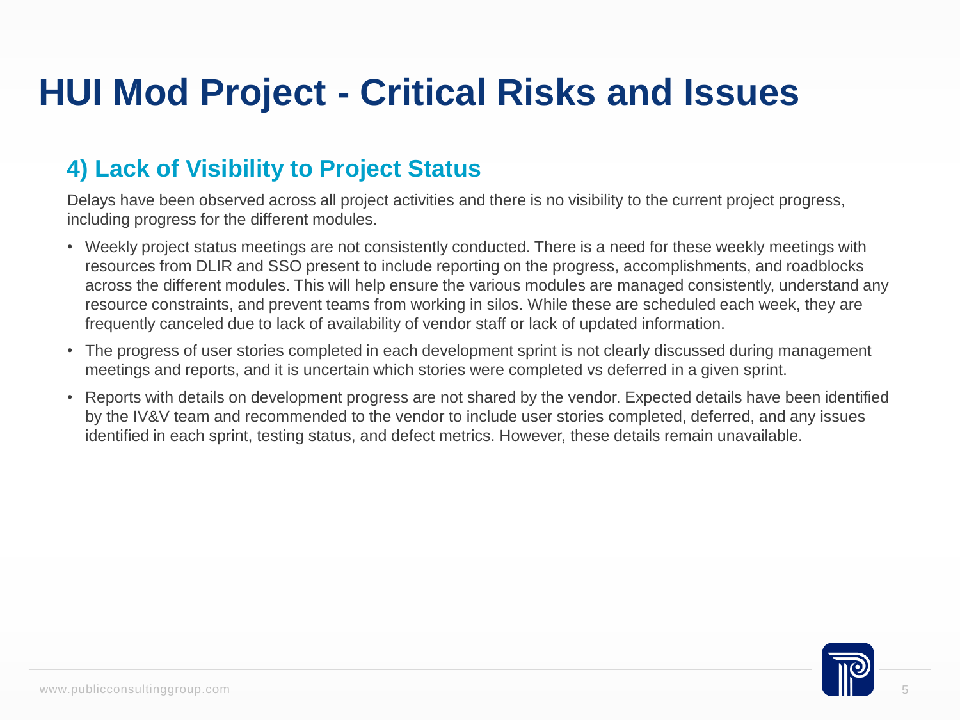#### **4) Lack of Visibility to Project Status**

Delays have been observed across all project activities and there is no visibility to the current project progress, including progress for the different modules.

- Weekly project status meetings are not consistently conducted. There is a need for these weekly meetings with resources from DLIR and SSO present to include reporting on the progress, accomplishments, and roadblocks across the different modules. This will help ensure the various modules are managed consistently, understand any resource constraints, and prevent teams from working in silos. While these are scheduled each week, they are frequently canceled due to lack of availability of vendor staff or lack of updated information.
- The progress of user stories completed in each development sprint is not clearly discussed during management meetings and reports, and it is uncertain which stories were completed vs deferred in a given sprint.
- Reports with details on development progress are not shared by the vendor. Expected details have been identified by the IV&V team and recommended to the vendor to include user stories completed, deferred, and any issues identified in each sprint, testing status, and defect metrics. However, these details remain unavailable.

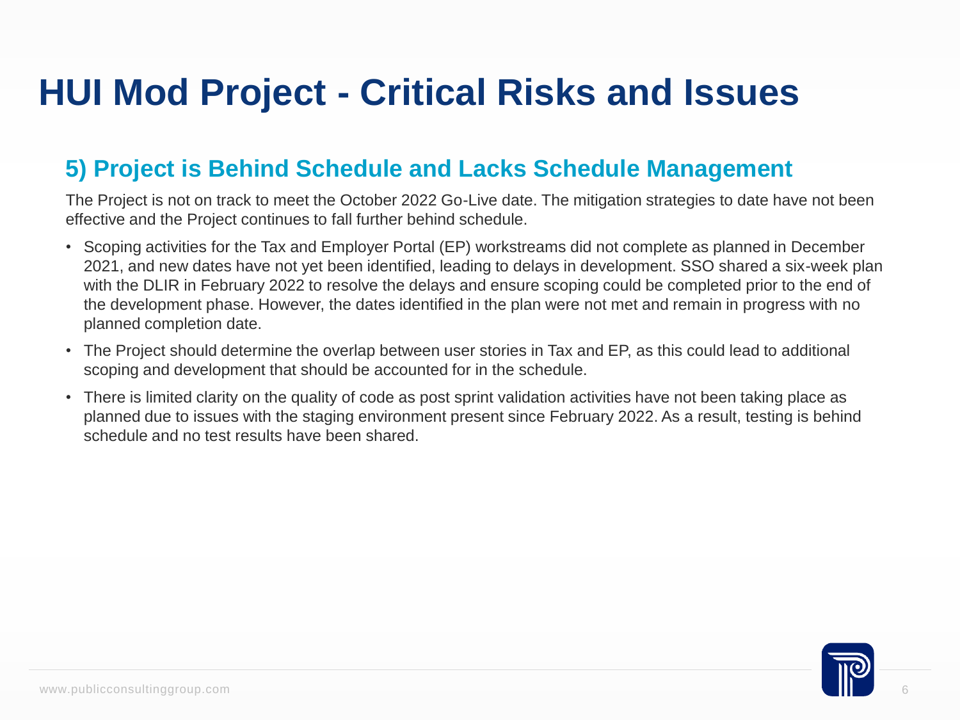#### **5) Project is Behind Schedule and Lacks Schedule Management**

The Project is not on track to meet the October 2022 Go-Live date. The mitigation strategies to date have not been effective and the Project continues to fall further behind schedule.

- Scoping activities for the Tax and Employer Portal (EP) workstreams did not complete as planned in December 2021, and new dates have not yet been identified, leading to delays in development. SSO shared a six-week plan with the DLIR in February 2022 to resolve the delays and ensure scoping could be completed prior to the end of the development phase. However, the dates identified in the plan were not met and remain in progress with no planned completion date.
- The Project should determine the overlap between user stories in Tax and EP, as this could lead to additional scoping and development that should be accounted for in the schedule.
- There is limited clarity on the quality of code as post sprint validation activities have not been taking place as planned due to issues with the staging environment present since February 2022. As a result, testing is behind schedule and no test results have been shared.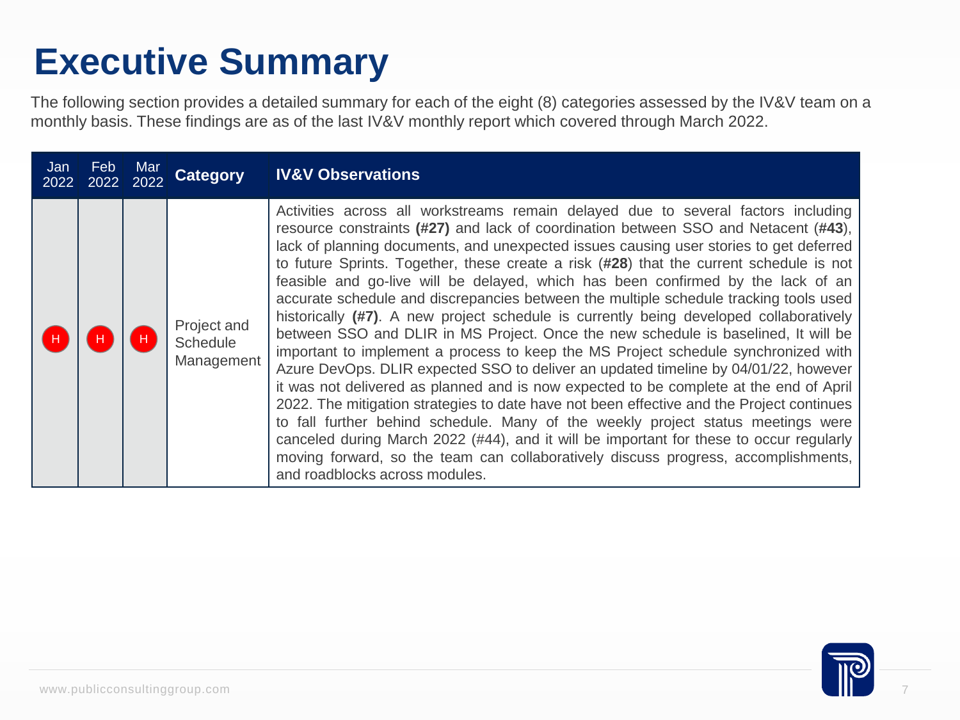## **Executive Summary**

The following section provides a detailed summary for each of the eight (8) categories assessed by the IV&V team on a monthly basis. These findings are as of the last IV&V monthly report which covered through March 2022.

| Jan<br>2022 | <b>Feb</b> | Mar<br>2022 2022 | <b>Category</b>                       | <b>IV&amp;V Observations</b>                                                                                                                                                                                                                                                                                                                                                                                                                                                                                                                                                                                                                                                                                                                                                                                                                                                                                                                                                                                                                                                                                                                                                                                                                                                                                                                                                                          |
|-------------|------------|------------------|---------------------------------------|-------------------------------------------------------------------------------------------------------------------------------------------------------------------------------------------------------------------------------------------------------------------------------------------------------------------------------------------------------------------------------------------------------------------------------------------------------------------------------------------------------------------------------------------------------------------------------------------------------------------------------------------------------------------------------------------------------------------------------------------------------------------------------------------------------------------------------------------------------------------------------------------------------------------------------------------------------------------------------------------------------------------------------------------------------------------------------------------------------------------------------------------------------------------------------------------------------------------------------------------------------------------------------------------------------------------------------------------------------------------------------------------------------|
| H           | H,         |                  | Project and<br>Schedule<br>Management | Activities across all workstreams remain delayed due to several factors including<br>resource constraints (#27) and lack of coordination between SSO and Netacent (#43),<br>lack of planning documents, and unexpected issues causing user stories to get deferred<br>to future Sprints. Together, these create a risk (#28) that the current schedule is not<br>feasible and go-live will be delayed, which has been confirmed by the lack of an<br>accurate schedule and discrepancies between the multiple schedule tracking tools used<br>historically (#7). A new project schedule is currently being developed collaboratively<br>between SSO and DLIR in MS Project. Once the new schedule is baselined, It will be<br>important to implement a process to keep the MS Project schedule synchronized with<br>Azure DevOps. DLIR expected SSO to deliver an updated timeline by 04/01/22, however<br>it was not delivered as planned and is now expected to be complete at the end of April<br>2022. The mitigation strategies to date have not been effective and the Project continues<br>to fall further behind schedule. Many of the weekly project status meetings were<br>canceled during March 2022 (#44), and it will be important for these to occur regularly<br>moving forward, so the team can collaboratively discuss progress, accomplishments,<br>and roadblocks across modules. |

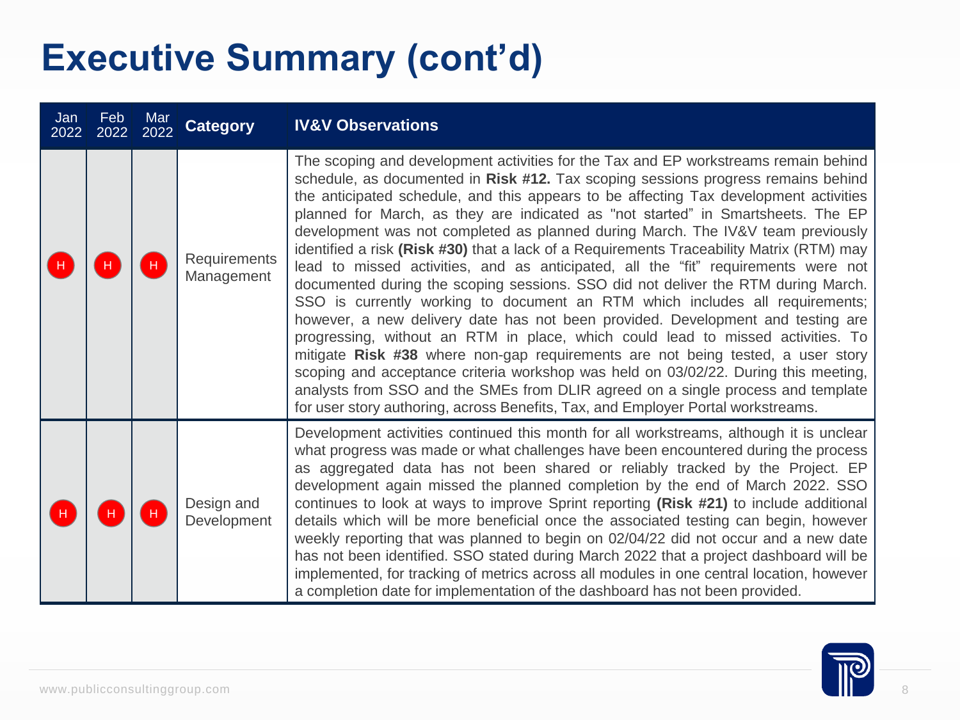| Jan<br>2022 | Feb<br>2022 | Mar<br>2022 | <b>Category</b>            | <b>IV&amp;V Observations</b>                                                                                                                                                                                                                                                                                                                                                                                                                                                                                                                                                                                                                                                                                                                                                                                                                                                                                                                                                                                                                                                                                                                                                                                                                                                                                            |
|-------------|-------------|-------------|----------------------------|-------------------------------------------------------------------------------------------------------------------------------------------------------------------------------------------------------------------------------------------------------------------------------------------------------------------------------------------------------------------------------------------------------------------------------------------------------------------------------------------------------------------------------------------------------------------------------------------------------------------------------------------------------------------------------------------------------------------------------------------------------------------------------------------------------------------------------------------------------------------------------------------------------------------------------------------------------------------------------------------------------------------------------------------------------------------------------------------------------------------------------------------------------------------------------------------------------------------------------------------------------------------------------------------------------------------------|
|             |             |             | Requirements<br>Management | The scoping and development activities for the Tax and EP workstreams remain behind<br>schedule, as documented in Risk #12. Tax scoping sessions progress remains behind<br>the anticipated schedule, and this appears to be affecting Tax development activities<br>planned for March, as they are indicated as "not started" in Smartsheets. The EP<br>development was not completed as planned during March. The IV&V team previously<br>identified a risk (Risk #30) that a lack of a Requirements Traceability Matrix (RTM) may<br>lead to missed activities, and as anticipated, all the "fit" requirements were not<br>documented during the scoping sessions. SSO did not deliver the RTM during March.<br>SSO is currently working to document an RTM which includes all requirements;<br>however, a new delivery date has not been provided. Development and testing are<br>progressing, without an RTM in place, which could lead to missed activities. To<br>mitigate Risk #38 where non-gap requirements are not being tested, a user story<br>scoping and acceptance criteria workshop was held on 03/02/22. During this meeting,<br>analysts from SSO and the SMEs from DLIR agreed on a single process and template<br>for user story authoring, across Benefits, Tax, and Employer Portal workstreams. |
|             |             |             | Design and<br>Development  | Development activities continued this month for all workstreams, although it is unclear<br>what progress was made or what challenges have been encountered during the process<br>as aggregated data has not been shared or reliably tracked by the Project. EP<br>development again missed the planned completion by the end of March 2022. SSO<br>continues to look at ways to improve Sprint reporting (Risk #21) to include additional<br>details which will be more beneficial once the associated testing can begin, however<br>weekly reporting that was planned to begin on 02/04/22 did not occur and a new date<br>has not been identified. SSO stated during March 2022 that a project dashboard will be<br>implemented, for tracking of metrics across all modules in one central location, however<br>a completion date for implementation of the dashboard has not been provided.                                                                                                                                                                                                                                                                                                                                                                                                                          |

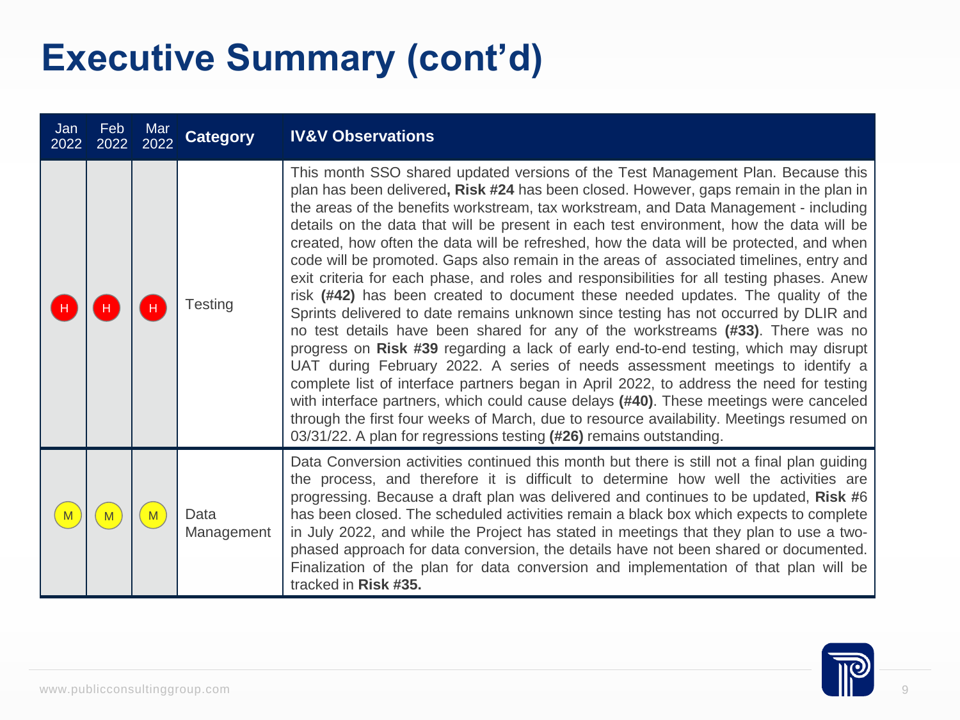| Jan<br>2022  | <b>Feb</b><br>2022 | Mar<br>2022 | <b>Category</b>    | <b>IV&amp;V Observations</b>                                                                                                                                                                                                                                                                                                                                                                                                                                                                                                                                                                                                                                                                                                                                                                                                                                                                                                                                                                                                                                                                                                                                                                                                                                                                                                                                                                                                                      |
|--------------|--------------------|-------------|--------------------|---------------------------------------------------------------------------------------------------------------------------------------------------------------------------------------------------------------------------------------------------------------------------------------------------------------------------------------------------------------------------------------------------------------------------------------------------------------------------------------------------------------------------------------------------------------------------------------------------------------------------------------------------------------------------------------------------------------------------------------------------------------------------------------------------------------------------------------------------------------------------------------------------------------------------------------------------------------------------------------------------------------------------------------------------------------------------------------------------------------------------------------------------------------------------------------------------------------------------------------------------------------------------------------------------------------------------------------------------------------------------------------------------------------------------------------------------|
|              |                    |             | <b>Testing</b>     | This month SSO shared updated versions of the Test Management Plan. Because this<br>plan has been delivered, Risk #24 has been closed. However, gaps remain in the plan in<br>the areas of the benefits workstream, tax workstream, and Data Management - including<br>details on the data that will be present in each test environment, how the data will be<br>created, how often the data will be refreshed, how the data will be protected, and when<br>code will be promoted. Gaps also remain in the areas of associated timelines, entry and<br>exit criteria for each phase, and roles and responsibilities for all testing phases. Anew<br>risk (#42) has been created to document these needed updates. The quality of the<br>Sprints delivered to date remains unknown since testing has not occurred by DLIR and<br>no test details have been shared for any of the workstreams (#33). There was no<br>progress on Risk #39 regarding a lack of early end-to-end testing, which may disrupt<br>UAT during February 2022. A series of needs assessment meetings to identify a<br>complete list of interface partners began in April 2022, to address the need for testing<br>with interface partners, which could cause delays (#40). These meetings were canceled<br>through the first four weeks of March, due to resource availability. Meetings resumed on<br>03/31/22. A plan for regressions testing (#26) remains outstanding. |
| $\mathbf{M}$ | M                  | M           | Data<br>Management | Data Conversion activities continued this month but there is still not a final plan guiding<br>the process, and therefore it is difficult to determine how well the activities are<br>progressing. Because a draft plan was delivered and continues to be updated, Risk #6<br>has been closed. The scheduled activities remain a black box which expects to complete<br>in July 2022, and while the Project has stated in meetings that they plan to use a two-<br>phased approach for data conversion, the details have not been shared or documented.<br>Finalization of the plan for data conversion and implementation of that plan will be<br>tracked in Risk #35.                                                                                                                                                                                                                                                                                                                                                                                                                                                                                                                                                                                                                                                                                                                                                                           |

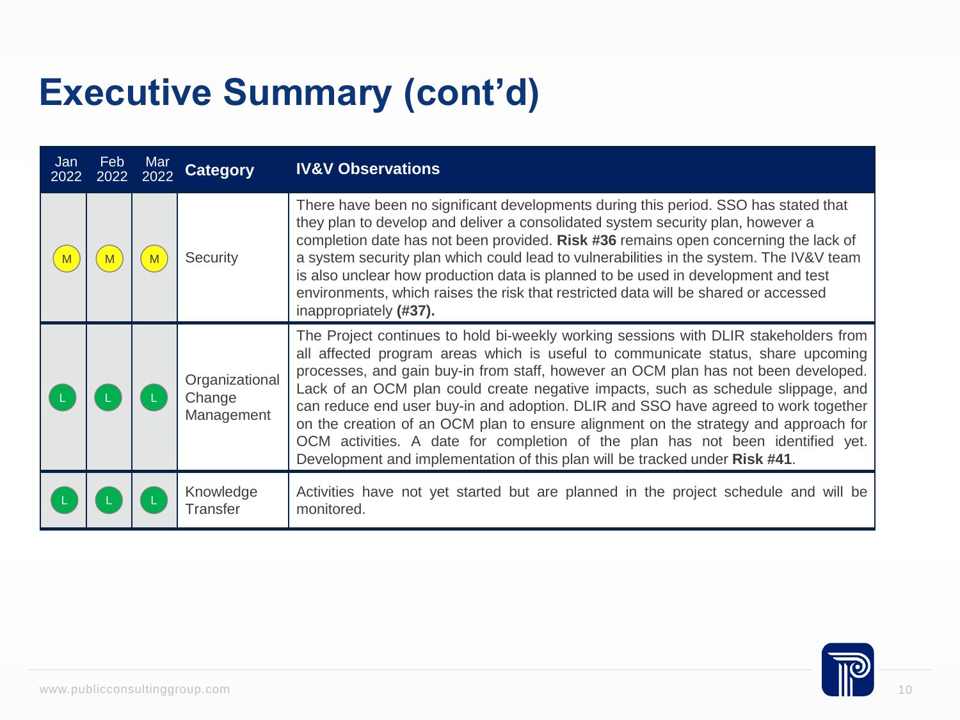| Jan<br>2022 | Feb<br>2022 | Mar<br>2022 | <b>Category</b>                        | <b>IV&amp;V Observations</b>                                                                                                                                                                                                                                                                                                                                                                                                                                                                                                                                                                                                                                                                      |
|-------------|-------------|-------------|----------------------------------------|---------------------------------------------------------------------------------------------------------------------------------------------------------------------------------------------------------------------------------------------------------------------------------------------------------------------------------------------------------------------------------------------------------------------------------------------------------------------------------------------------------------------------------------------------------------------------------------------------------------------------------------------------------------------------------------------------|
|             |             |             | Security                               | There have been no significant developments during this period. SSO has stated that<br>they plan to develop and deliver a consolidated system security plan, however a<br>completion date has not been provided. Risk #36 remains open concerning the lack of<br>a system security plan which could lead to vulnerabilities in the system. The IV&V team<br>is also unclear how production data is planned to be used in development and test<br>environments, which raises the risk that restricted data will be shared or accessed<br>inappropriately (#37).                                                                                                                                    |
|             |             |             | Organizational<br>Change<br>Management | The Project continues to hold bi-weekly working sessions with DLIR stakeholders from<br>all affected program areas which is useful to communicate status, share upcoming<br>processes, and gain buy-in from staff, however an OCM plan has not been developed.<br>Lack of an OCM plan could create negative impacts, such as schedule slippage, and<br>can reduce end user buy-in and adoption. DLIR and SSO have agreed to work together<br>on the creation of an OCM plan to ensure alignment on the strategy and approach for<br>OCM activities. A date for completion of the plan has not been identified yet.<br>Development and implementation of this plan will be tracked under Risk #41. |
|             |             |             | Knowledge<br><b>Transfer</b>           | Activities have not yet started but are planned in the project schedule and will be<br>monitored.                                                                                                                                                                                                                                                                                                                                                                                                                                                                                                                                                                                                 |
|             |             |             |                                        |                                                                                                                                                                                                                                                                                                                                                                                                                                                                                                                                                                                                                                                                                                   |

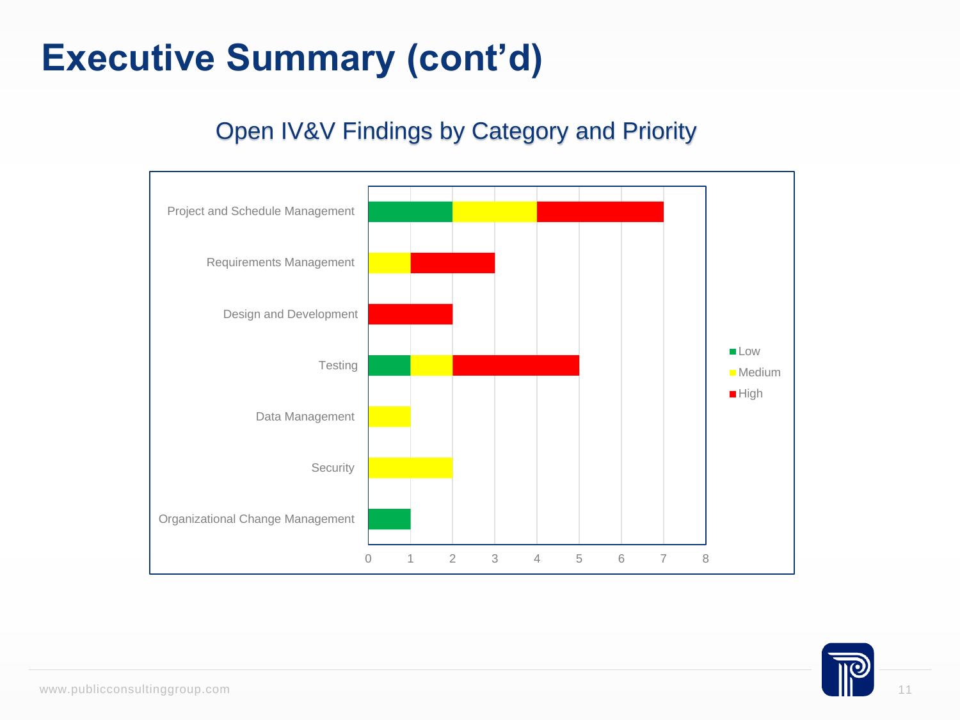### Open IV&V Findings by Category and Priority Open IV&V Findings by Category and Priority



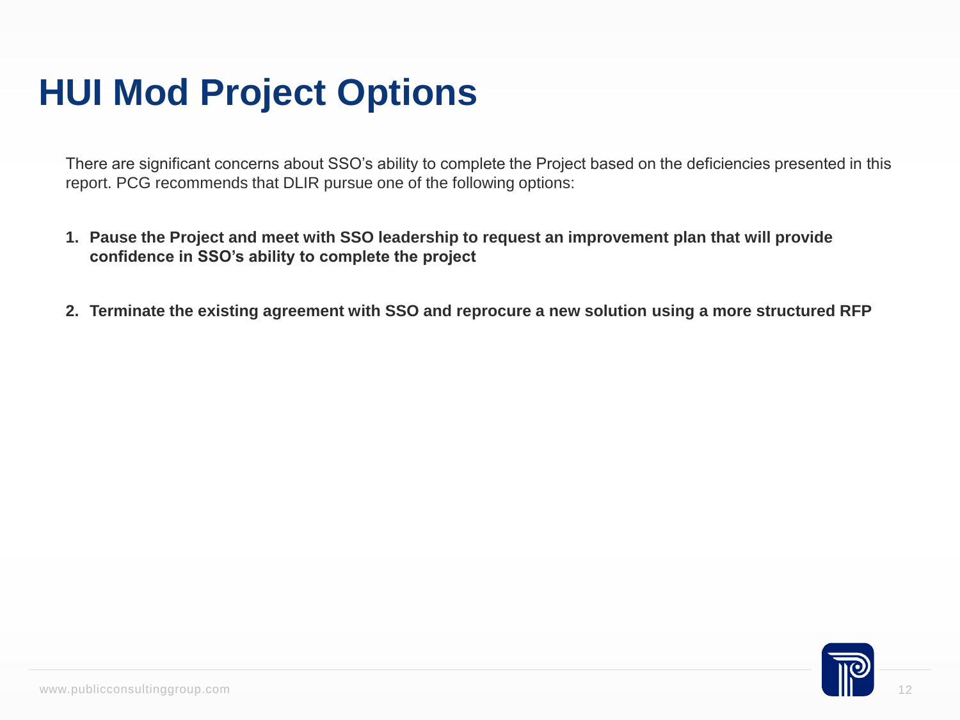### **HUI Mod Project Options**

There are significant concerns about SSO's ability to complete the Project based on the deficiencies presented in this report. PCG recommends that DLIR pursue one of the following options:

- **1. Pause the Project and meet with SSO leadership to request an improvement plan that will provide confidence in SSO's ability to complete the project**
- **2. Terminate the existing agreement with SSO and reprocure a new solution using a more structured RFP**

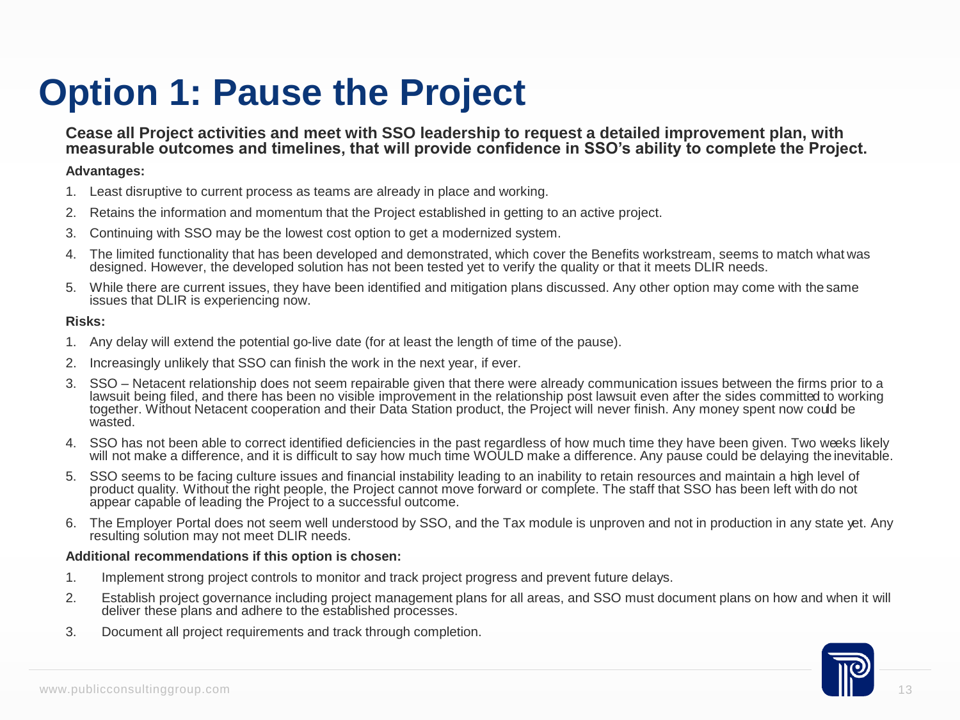## **Option 1: Pause the Project**

#### **Cease all Project activities and meet with SSO leadership to request a detailed improvement plan, with**  measurable outcomes and timelines, that will provide confidence in SSO's ability to complete the Project.

#### **Advantages:**

- 1. Least disruptive to current process as teams are already in place and working.
- 2. Retains the information and momentum that the Project established in getting to an active project.
- 3. Continuing with SSO may be the lowest cost option to get a modernized system.
- 4. The limited functionality that has been developed and demonstrated, which cover the Benefits workstream, seems to match what was designed. However, the developed solution has not been tested yet to verify the quality or that it meets DLIR needs.
- 5. While there are current issues, they have been identified and mitigation plans discussed. Any other option may come with the same issues that DLIR is experiencing now.

#### **Risks:**

- 1. Any delay will extend the potential go-live date (for at least the length of time of the pause).
- 2. Increasingly unlikely that SSO can finish the work in the next year, if ever.
- 3. SSO Netacent relationship does not seem repairable given that there were already communication issues between the firms prior to a lawsuit being filed, and there has been no visible improvement in the relationship post lawsuit even after the sides committed to working together. Without Netacent cooperation and their Data Station product, the Project will never finish. Any money spent now could be wasted.
- 4. SSO has not been able to correct identified deficiencies in the past regardless of how much time they have been given. Two weeks likely will not make a difference, and it is difficult to say how much time WOULD make a difference. Any pause could be delaying the inevitable.
- 5. SSO seems to be facing culture issues and financial instability leading to an inability to retain resources and maintain a high level of product quality. Without the right people, the Project cannot move forward or complete. The staff that SSO has been left with do not appear capable of leading the Project to a successful outcome.
- 6. The Employer Portal does not seem well understood by SSO, and the Tax module is unproven and not in production in any state yet. Any resulting solution may not meet DLIR needs.

#### **Additional recommendations if this option is chosen:**

- 1. Implement strong project controls to monitor and track project progress and prevent future delays.
- 2. Establish project governance including project management plans for all areas, and SSO must document plans on how and when it will deliver these plans and adhere to the established processes.
- 3. Document all project requirements and track through completion.

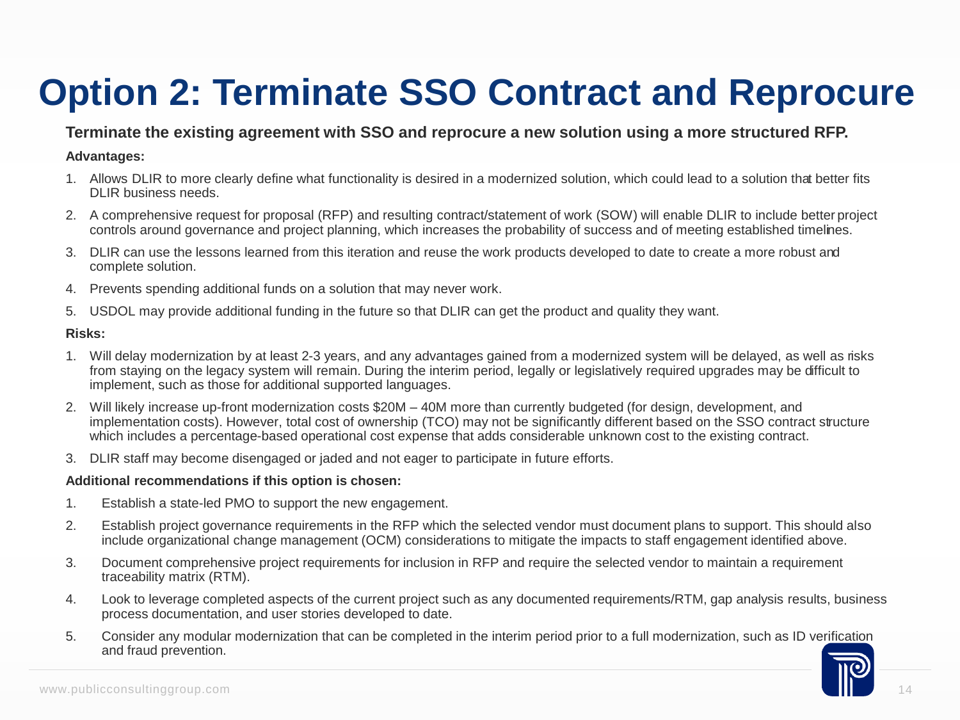## **Option 2: Terminate SSO Contract and Reprocure**

#### **Terminate the existing agreement with SSO and reprocure a new solution using a more structured RFP.**

#### **Advantages:**

- 1. Allows DLIR to more clearly define what functionality is desired in a modernized solution, which could lead to a solution that better fits DLIR business needs.
- 2. A comprehensive request for proposal (RFP) and resulting contract/statement of work (SOW) will enable DLIR to include better project controls around governance and project planning, which increases the probability of success and of meeting established timelines.
- 3. DLIR can use the lessons learned from this iteration and reuse the work products developed to date to create a more robust and complete solution.
- 4. Prevents spending additional funds on a solution that may never work.
- 5. USDOL may provide additional funding in the future so that DLIR can get the product and quality they want.

#### **Risks:**

- 1. Will delay modernization by at least 2-3 years, and any advantages gained from a modernized system will be delayed, as well as risks from staying on the legacy system will remain. During the interim period, legally or legislatively required upgrades may be difficult to implement, such as those for additional supported languages.
- 2. Will likely increase up-front modernization costs \$20M 40M more than currently budgeted (for design, development, and implementation costs). However, total cost of ownership (TCO) may not be significantly different based on the SSO contract structure which includes a percentage-based operational cost expense that adds considerable unknown cost to the existing contract.
- 3. DLIR staff may become disengaged or jaded and not eager to participate in future efforts.

#### **Additional recommendations if this option is chosen:**

- 1. Establish a state-led PMO to support the new engagement.
- 2. Establish project governance requirements in the RFP which the selected vendor must document plans to support. This should also include organizational change management (OCM) considerations to mitigate the impacts to staff engagement identified above.
- 3. Document comprehensive project requirements for inclusion in RFP and require the selected vendor to maintain a requirement traceability matrix (RTM).
- 4. Look to leverage completed aspects of the current project such as any documented requirements/RTM, gap analysis results, business process documentation, and user stories developed to date.
- 5. Consider any modular modernization that can be completed in the interim period prior to a full modernization, such as ID verification consultinggroup.com